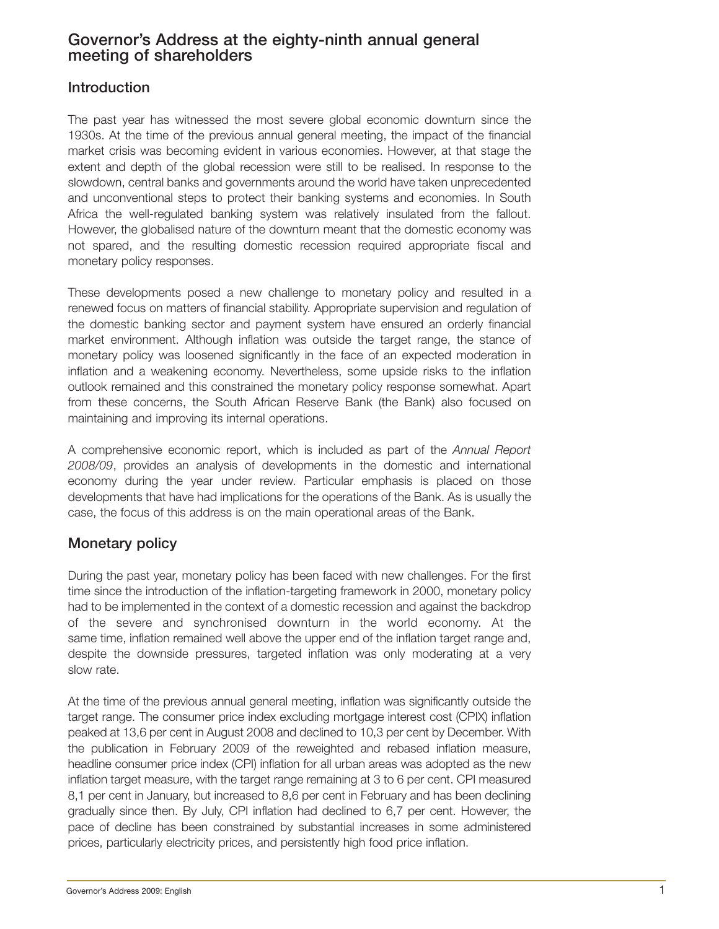# **Governor's Address at the eighty-ninth annual general meeting of shareholders**

## **Introduction**

The past year has witnessed the most severe global economic downturn since the 1930s. At the time of the previous annual general meeting, the impact of the financial market crisis was becoming evident in various economies. However, at that stage the extent and depth of the global recession were still to be realised. In response to the slowdown, central banks and governments around the world have taken unprecedented and unconventional steps to protect their banking systems and economies. In South Africa the well-regulated banking system was relatively insulated from the fallout. However, the globalised nature of the downturn meant that the domestic economy was not spared, and the resulting domestic recession required appropriate fiscal and monetary policy responses.

These developments posed a new challenge to monetary policy and resulted in a renewed focus on matters of financial stability. Appropriate supervision and regulation of the domestic banking sector and payment system have ensured an orderly financial market environment. Although inflation was outside the target range, the stance of monetary policy was loosened significantly in the face of an expected moderation in inflation and a weakening economy. Nevertheless, some upside risks to the inflation outlook remained and this constrained the monetary policy response somewhat. Apart from these concerns, the South African Reserve Bank (the Bank) also focused on maintaining and improving its internal operations.

A comprehensive economic report, which is included as part of the *Annual Report 2008/09*, provides an analysis of developments in the domestic and international economy during the year under review. Particular emphasis is placed on those developments that have had implications for the operations of the Bank. As is usually the case, the focus of this address is on the main operational areas of the Bank.

# **Monetary policy**

During the past year, monetary policy has been faced with new challenges. For the first time since the introduction of the inflation-targeting framework in 2000, monetary policy had to be implemented in the context of a domestic recession and against the backdrop of the severe and synchronised downturn in the world economy. At the same time, inflation remained well above the upper end of the inflation target range and, despite the downside pressures, targeted inflation was only moderating at a very slow rate.

At the time of the previous annual general meeting, inflation was significantly outside the target range. The consumer price index excluding mortgage interest cost (CPIX) inflation peaked at 13,6 per cent in August 2008 and declined to 10,3 per cent by December. With the publication in February 2009 of the reweighted and rebased inflation measure, headline consumer price index (CPI) inflation for all urban areas was adopted as the new inflation target measure, with the target range remaining at 3 to 6 per cent. CPI measured 8,1 per cent in January, but increased to 8,6 per cent in February and has been declining gradually since then. By July, CPI inflation had declined to 6,7 per cent. However, the pace of decline has been constrained by substantial increases in some administered prices, particularly electricity prices, and persistently high food price inflation.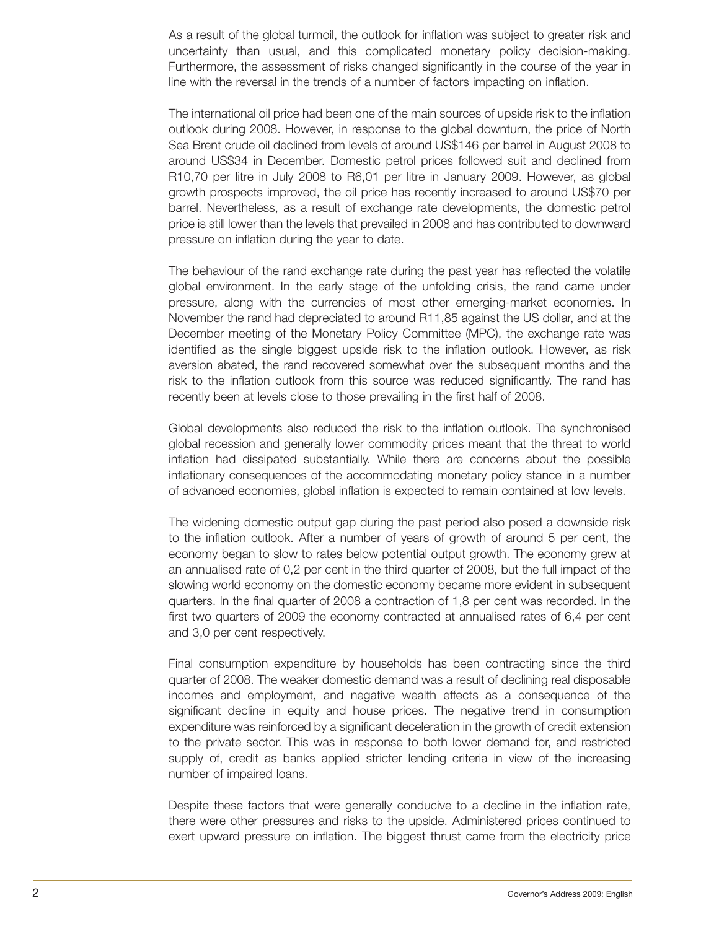As a result of the global turmoil, the outlook for inflation was subject to greater risk and uncertainty than usual, and this complicated monetary policy decision-making. Furthermore, the assessment of risks changed significantly in the course of the year in line with the reversal in the trends of a number of factors impacting on inflation.

The international oil price had been one of the main sources of upside risk to the inflation outlook during 2008. However, in response to the global downturn, the price of North Sea Brent crude oil declined from levels of around US\$146 per barrel in August 2008 to around US\$34 in December. Domestic petrol prices followed suit and declined from R10,70 per litre in July 2008 to R6,01 per litre in January 2009. However, as global growth prospects improved, the oil price has recently increased to around US\$70 per barrel. Nevertheless, as a result of exchange rate developments, the domestic petrol price is still lower than the levels that prevailed in 2008 and has contributed to downward pressure on inflation during the year to date.

The behaviour of the rand exchange rate during the past year has reflected the volatile global environment. In the early stage of the unfolding crisis, the rand came under pressure, along with the currencies of most other emerging-market economies. In November the rand had depreciated to around R11,85 against the US dollar, and at the December meeting of the Monetary Policy Committee (MPC), the exchange rate was identified as the single biggest upside risk to the inflation outlook. However, as risk aversion abated, the rand recovered somewhat over the subsequent months and the risk to the inflation outlook from this source was reduced significantly. The rand has recently been at levels close to those prevailing in the first half of 2008.

Global developments also reduced the risk to the inflation outlook. The synchronised global recession and generally lower commodity prices meant that the threat to world inflation had dissipated substantially. While there are concerns about the possible inflationary consequences of the accommodating monetary policy stance in a number of advanced economies, global inflation is expected to remain contained at low levels.

The widening domestic output gap during the past period also posed a downside risk to the inflation outlook. After a number of years of growth of around 5 per cent, the economy began to slow to rates below potential output growth. The economy grew at an annualised rate of 0,2 per cent in the third quarter of 2008, but the full impact of the slowing world economy on the domestic economy became more evident in subsequent quarters. In the final quarter of 2008 a contraction of 1,8 per cent was recorded. In the first two quarters of 2009 the economy contracted at annualised rates of 6,4 per cent and 3,0 per cent respectively.

Final consumption expenditure by households has been contracting since the third quarter of 2008. The weaker domestic demand was a result of declining real disposable incomes and employment, and negative wealth effects as a consequence of the significant decline in equity and house prices. The negative trend in consumption expenditure was reinforced by a significant deceleration in the growth of credit extension to the private sector. This was in response to both lower demand for, and restricted supply of, credit as banks applied stricter lending criteria in view of the increasing number of impaired loans.

Despite these factors that were generally conducive to a decline in the inflation rate, there were other pressures and risks to the upside. Administered prices continued to exert upward pressure on inflation. The biggest thrust came from the electricity price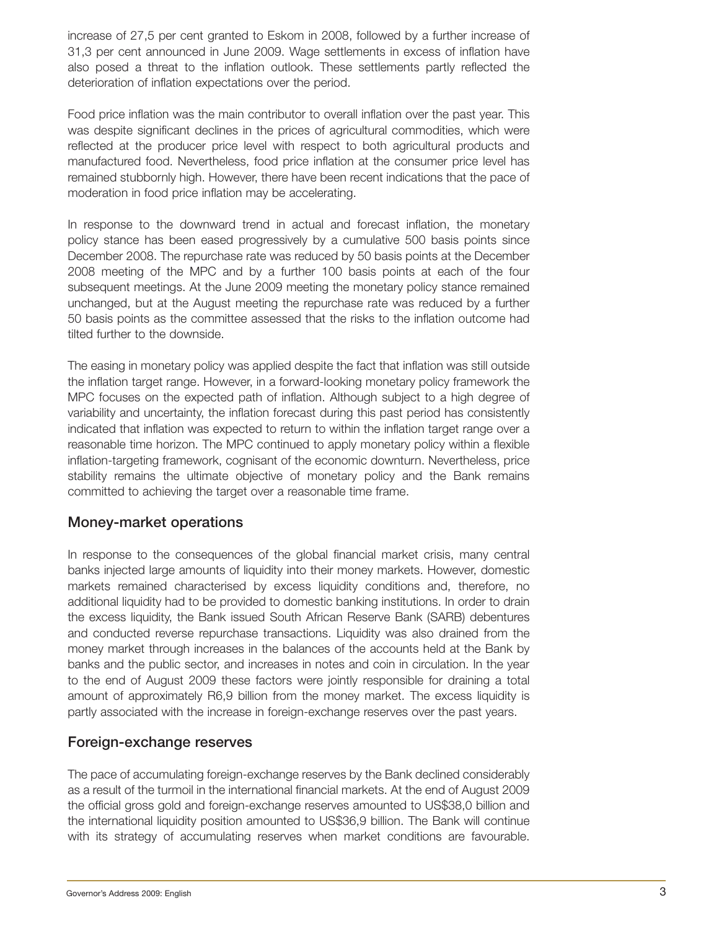increase of 27,5 per cent granted to Eskom in 2008, followed by a further increase of 31,3 per cent announced in June 2009. Wage settlements in excess of inflation have also posed a threat to the inflation outlook. These settlements partly reflected the deterioration of inflation expectations over the period.

Food price inflation was the main contributor to overall inflation over the past year. This was despite significant declines in the prices of agricultural commodities, which were reflected at the producer price level with respect to both agricultural products and manufactured food. Nevertheless, food price inflation at the consumer price level has remained stubbornly high. However, there have been recent indications that the pace of moderation in food price inflation may be accelerating.

In response to the downward trend in actual and forecast inflation, the monetary policy stance has been eased progressively by a cumulative 500 basis points since December 2008. The repurchase rate was reduced by 50 basis points at the December 2008 meeting of the MPC and by a further 100 basis points at each of the four subsequent meetings. At the June 2009 meeting the monetary policy stance remained unchanged, but at the August meeting the repurchase rate was reduced by a further 50 basis points as the committee assessed that the risks to the inflation outcome had tilted further to the downside.

The easing in monetary policy was applied despite the fact that inflation was still outside the inflation target range. However, in a forward-looking monetary policy framework the MPC focuses on the expected path of inflation. Although subject to a high degree of variability and uncertainty, the inflation forecast during this past period has consistently indicated that inflation was expected to return to within the inflation target range over a reasonable time horizon. The MPC continued to apply monetary policy within a flexible inflation-targeting framework, cognisant of the economic downturn. Nevertheless, price stability remains the ultimate objective of monetary policy and the Bank remains committed to achieving the target over a reasonable time frame.

## **Money-market operations**

In response to the consequences of the global financial market crisis, many central banks injected large amounts of liquidity into their money markets. However, domestic markets remained characterised by excess liquidity conditions and, therefore, no additional liquidity had to be provided to domestic banking institutions. In order to drain the excess liquidity, the Bank issued South African Reserve Bank (SARB) debentures and conducted reverse repurchase transactions. Liquidity was also drained from the money market through increases in the balances of the accounts held at the Bank by banks and the public sector, and increases in notes and coin in circulation. In the year to the end of August 2009 these factors were jointly responsible for draining a total amount of approximately R6,9 billion from the money market. The excess liquidity is partly associated with the increase in foreign-exchange reserves over the past years.

## **Foreign-exchange reserves**

The pace of accumulating foreign-exchange reserves by the Bank declined considerably as a result of the turmoil in the international financial markets. At the end of August 2009 the official gross gold and foreign-exchange reserves amounted to US\$38,0 billion and the international liquidity position amounted to US\$36,9 billion. The Bank will continue with its strategy of accumulating reserves when market conditions are favourable.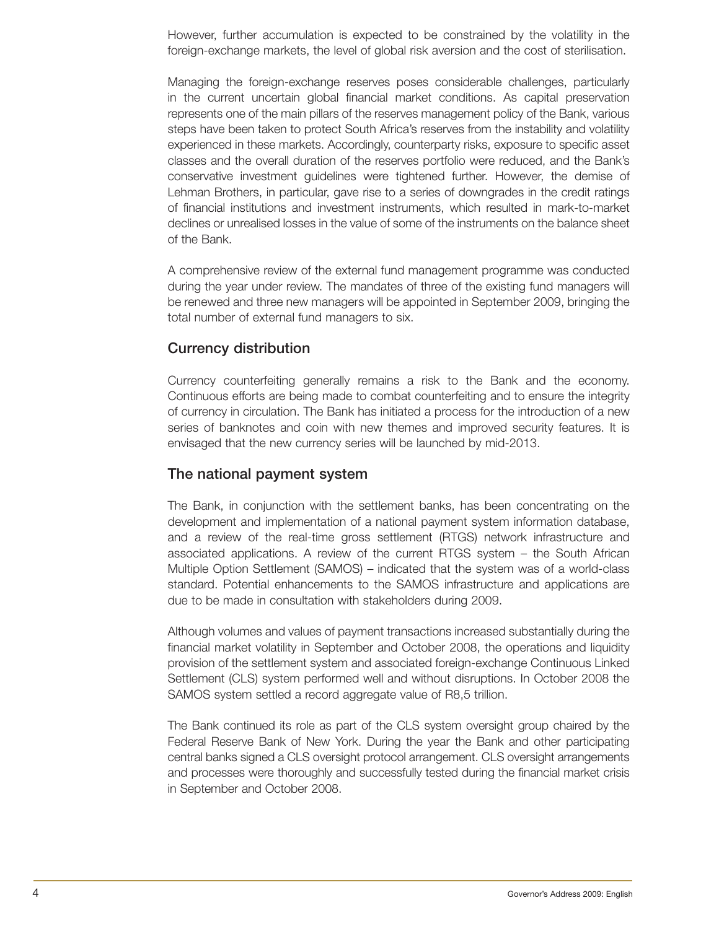However, further accumulation is expected to be constrained by the volatility in the foreign-exchange markets, the level of global risk aversion and the cost of sterilisation.

Managing the foreign-exchange reserves poses considerable challenges, particularly in the current uncertain global financial market conditions. As capital preservation represents one of the main pillars of the reserves management policy of the Bank, various steps have been taken to protect South Africa's reserves from the instability and volatility experienced in these markets. Accordingly, counterparty risks, exposure to specific asset classes and the overall duration of the reserves portfolio were reduced, and the Bank's conservative investment guidelines were tightened further. However, the demise of Lehman Brothers, in particular, gave rise to a series of downgrades in the credit ratings of financial institutions and investment instruments, which resulted in mark-to-market declines or unrealised losses in the value of some of the instruments on the balance sheet of the Bank.

A comprehensive review of the external fund management programme was conducted during the year under review. The mandates of three of the existing fund managers will be renewed and three new managers will be appointed in September 2009, bringing the total number of external fund managers to six.

### **Currency distribution**

Currency counterfeiting generally remains a risk to the Bank and the economy. Continuous efforts are being made to combat counterfeiting and to ensure the integrity of currency in circulation. The Bank has initiated a process for the introduction of a new series of banknotes and coin with new themes and improved security features. It is envisaged that the new currency series will be launched by mid-2013.

#### **The national payment system**

The Bank, in conjunction with the settlement banks, has been concentrating on the development and implementation of a national payment system information database, and a review of the real-time gross settlement (RTGS) network infrastructure and associated applications. A review of the current RTGS system – the South African Multiple Option Settlement (SAMOS) – indicated that the system was of a world-class standard. Potential enhancements to the SAMOS infrastructure and applications are due to be made in consultation with stakeholders during 2009.

Although volumes and values of payment transactions increased substantially during the financial market volatility in September and October 2008, the operations and liquidity provision of the settlement system and associated foreign-exchange Continuous Linked Settlement (CLS) system performed well and without disruptions. In October 2008 the SAMOS system settled a record aggregate value of R8,5 trillion.

The Bank continued its role as part of the CLS system oversight group chaired by the Federal Reserve Bank of New York. During the year the Bank and other participating central banks signed a CLS oversight protocol arrangement. CLS oversight arrangements and processes were thoroughly and successfully tested during the financial market crisis in September and October 2008.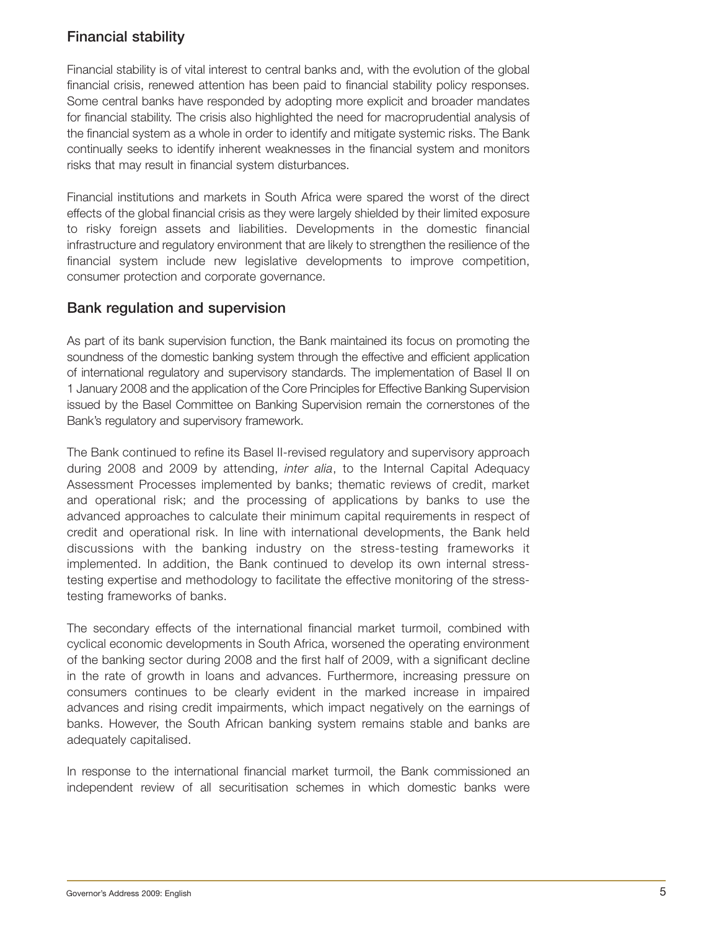# **Financial stability**

Financial stability is of vital interest to central banks and, with the evolution of the global financial crisis, renewed attention has been paid to financial stability policy responses. Some central banks have responded by adopting more explicit and broader mandates for financial stability. The crisis also highlighted the need for macroprudential analysis of the financial system as a whole in order to identify and mitigate systemic risks. The Bank continually seeks to identify inherent weaknesses in the financial system and monitors risks that may result in financial system disturbances.

Financial institutions and markets in South Africa were spared the worst of the direct effects of the global financial crisis as they were largely shielded by their limited exposure to risky foreign assets and liabilities. Developments in the domestic financial infrastructure and regulatory environment that are likely to strengthen the resilience of the financial system include new legislative developments to improve competition, consumer protection and corporate governance.

## **Bank regulation and supervision**

As part of its bank supervision function, the Bank maintained its focus on promoting the soundness of the domestic banking system through the effective and efficient application of international regulatory and supervisory standards. The implementation of Basel II on 1 January 2008 and the application of the Core Principles for Effective Banking Supervision issued by the Basel Committee on Banking Supervision remain the cornerstones of the Bank's regulatory and supervisory framework.

The Bank continued to refine its Basel II-revised regulatory and supervisory approach during 2008 and 2009 by attending, *inter alia*, to the Internal Capital Adequacy Assessment Processes implemented by banks; thematic reviews of credit, market and operational risk; and the processing of applications by banks to use the advanced approaches to calculate their minimum capital requirements in respect of credit and operational risk. In line with international developments, the Bank held discussions with the banking industry on the stress-testing frameworks it implemented. In addition, the Bank continued to develop its own internal stresstesting expertise and methodology to facilitate the effective monitoring of the stresstesting frameworks of banks.

The secondary effects of the international financial market turmoil, combined with cyclical economic developments in South Africa, worsened the operating environment of the banking sector during 2008 and the first half of 2009, with a significant decline in the rate of growth in loans and advances. Furthermore, increasing pressure on consumers continues to be clearly evident in the marked increase in impaired advances and rising credit impairments, which impact negatively on the earnings of banks. However, the South African banking system remains stable and banks are adequately capitalised.

In response to the international financial market turmoil, the Bank commissioned an independent review of all securitisation schemes in which domestic banks were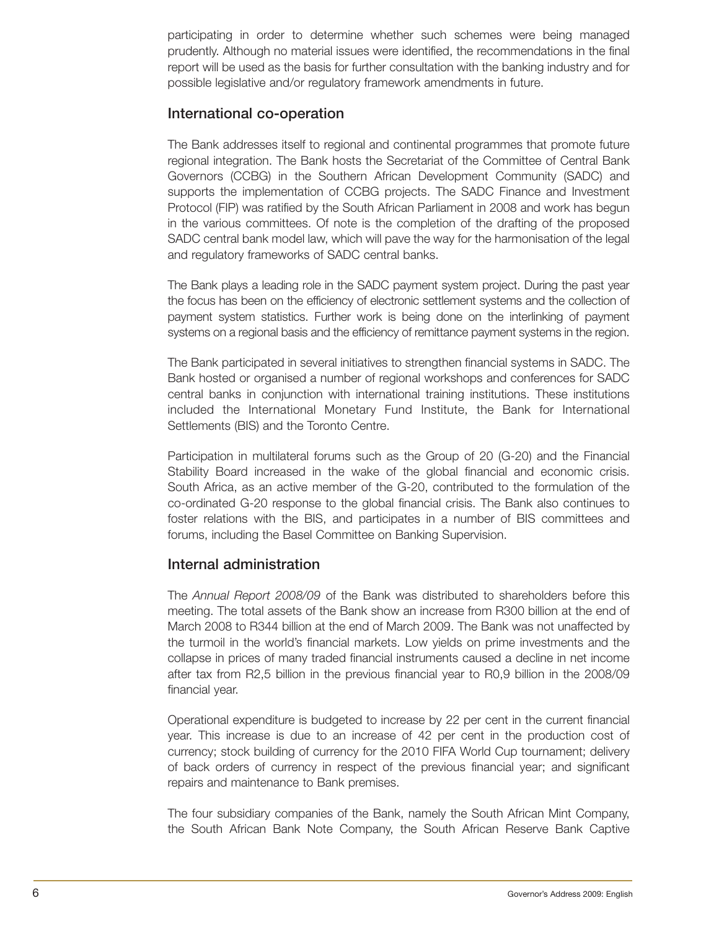participating in order to determine whether such schemes were being managed prudently. Although no material issues were identified, the recommendations in the final report will be used as the basis for further consultation with the banking industry and for possible legislative and/or regulatory framework amendments in future.

### **International co-operation**

The Bank addresses itself to regional and continental programmes that promote future regional integration. The Bank hosts the Secretariat of the Committee of Central Bank Governors (CCBG) in the Southern African Development Community (SADC) and supports the implementation of CCBG projects. The SADC Finance and Investment Protocol (FIP) was ratified by the South African Parliament in 2008 and work has begun in the various committees. Of note is the completion of the drafting of the proposed SADC central bank model law, which will pave the way for the harmonisation of the legal and regulatory frameworks of SADC central banks.

The Bank plays a leading role in the SADC payment system project. During the past year the focus has been on the efficiency of electronic settlement systems and the collection of payment system statistics. Further work is being done on the interlinking of payment systems on a regional basis and the efficiency of remittance payment systems in the region.

The Bank participated in several initiatives to strengthen financial systems in SADC. The Bank hosted or organised a number of regional workshops and conferences for SADC central banks in conjunction with international training institutions. These institutions included the International Monetary Fund Institute, the Bank for International Settlements (BIS) and the Toronto Centre.

Participation in multilateral forums such as the Group of 20 (G-20) and the Financial Stability Board increased in the wake of the global financial and economic crisis. South Africa, as an active member of the G-20, contributed to the formulation of the co-ordinated G-20 response to the global financial crisis. The Bank also continues to foster relations with the BIS, and participates in a number of BIS committees and forums, including the Basel Committee on Banking Supervision.

## **Internal administration**

The *Annual Report 2008/09* of the Bank was distributed to shareholders before this meeting. The total assets of the Bank show an increase from R300 billion at the end of March 2008 to R344 billion at the end of March 2009. The Bank was not unaffected by the turmoil in the world's financial markets. Low yields on prime investments and the collapse in prices of many traded financial instruments caused a decline in net income after tax from R2,5 billion in the previous financial year to R0,9 billion in the 2008/09 financial year.

Operational expenditure is budgeted to increase by 22 per cent in the current financial year. This increase is due to an increase of 42 per cent in the production cost of currency; stock building of currency for the 2010 FIFA World Cup tournament; delivery of back orders of currency in respect of the previous financial year; and significant repairs and maintenance to Bank premises.

The four subsidiary companies of the Bank, namely the South African Mint Company, the South African Bank Note Company, the South African Reserve Bank Captive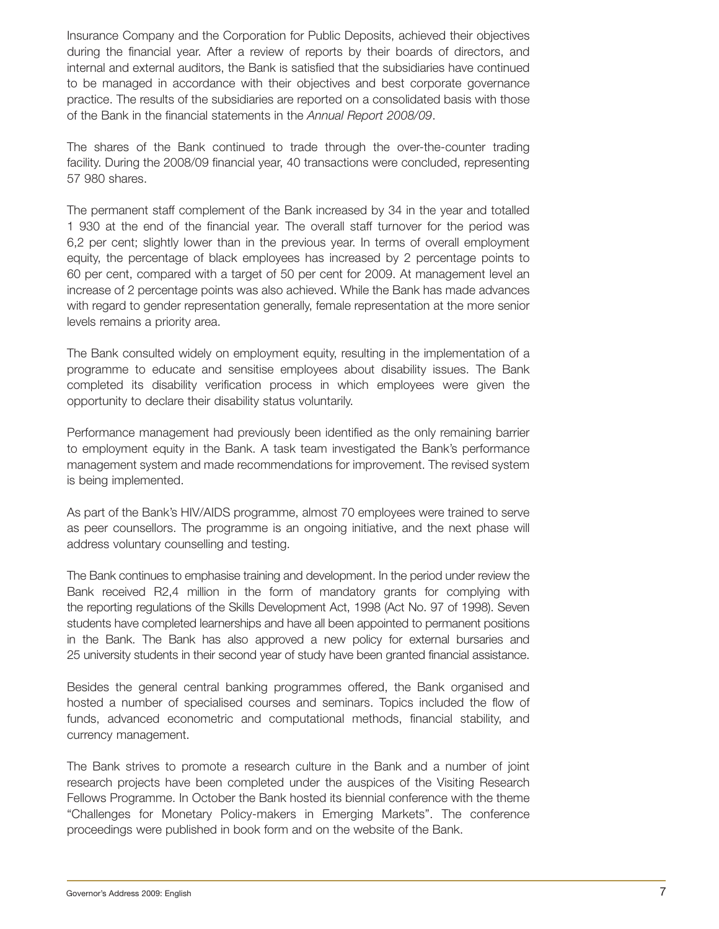Insurance Company and the Corporation for Public Deposits, achieved their objectives during the financial year. After a review of reports by their boards of directors, and internal and external auditors, the Bank is satisfied that the subsidiaries have continued to be managed in accordance with their objectives and best corporate governance practice. The results of the subsidiaries are reported on a consolidated basis with those of the Bank in the financial statements in the *Annual Report 2008/09*.

The shares of the Bank continued to trade through the over-the-counter trading facility. During the 2008/09 financial year, 40 transactions were concluded, representing 57 980 shares.

The permanent staff complement of the Bank increased by 34 in the year and totalled 1 930 at the end of the financial year. The overall staff turnover for the period was 6,2 per cent; slightly lower than in the previous year. In terms of overall employment equity, the percentage of black employees has increased by 2 percentage points to 60 per cent, compared with a target of 50 per cent for 2009. At management level an increase of 2 percentage points was also achieved. While the Bank has made advances with regard to gender representation generally, female representation at the more senior levels remains a priority area.

The Bank consulted widely on employment equity, resulting in the implementation of a programme to educate and sensitise employees about disability issues. The Bank completed its disability verification process in which employees were given the opportunity to declare their disability status voluntarily.

Performance management had previously been identified as the only remaining barrier to employment equity in the Bank. A task team investigated the Bank's performance management system and made recommendations for improvement. The revised system is being implemented.

As part of the Bank's HIV/AIDS programme, almost 70 employees were trained to serve as peer counsellors. The programme is an ongoing initiative, and the next phase will address voluntary counselling and testing.

The Bank continues to emphasise training and development. In the period under review the Bank received R2,4 million in the form of mandatory grants for complying with the reporting regulations of the Skills Development Act, 1998 (Act No. 97 of 1998). Seven students have completed learnerships and have all been appointed to permanent positions in the Bank. The Bank has also approved a new policy for external bursaries and 25 university students in their second year of study have been granted financial assistance.

Besides the general central banking programmes offered, the Bank organised and hosted a number of specialised courses and seminars. Topics included the flow of funds, advanced econometric and computational methods, financial stability, and currency management.

The Bank strives to promote a research culture in the Bank and a number of joint research projects have been completed under the auspices of the Visiting Research Fellows Programme. In October the Bank hosted its biennial conference with the theme "Challenges for Monetary Policy-makers in Emerging Markets". The conference proceedings were published in book form and on the website of the Bank.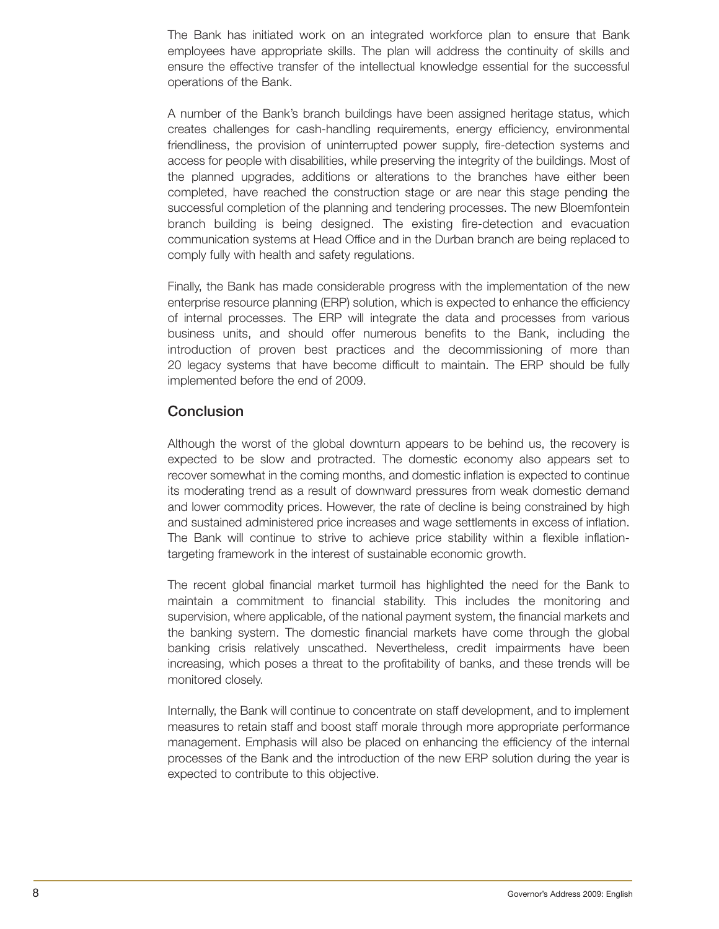The Bank has initiated work on an integrated workforce plan to ensure that Bank employees have appropriate skills. The plan will address the continuity of skills and ensure the effective transfer of the intellectual knowledge essential for the successful operations of the Bank.

A number of the Bank's branch buildings have been assigned heritage status, which creates challenges for cash-handling requirements, energy efficiency, environmental friendliness, the provision of uninterrupted power supply, fire-detection systems and access for people with disabilities, while preserving the integrity of the buildings. Most of the planned upgrades, additions or alterations to the branches have either been completed, have reached the construction stage or are near this stage pending the successful completion of the planning and tendering processes. The new Bloemfontein branch building is being designed. The existing fire-detection and evacuation communication systems at Head Office and in the Durban branch are being replaced to comply fully with health and safety regulations.

Finally, the Bank has made considerable progress with the implementation of the new enterprise resource planning (ERP) solution, which is expected to enhance the efficiency of internal processes. The ERP will integrate the data and processes from various business units, and should offer numerous benefits to the Bank, including the introduction of proven best practices and the decommissioning of more than 20 legacy systems that have become difficult to maintain. The ERP should be fully implemented before the end of 2009.

### **Conclusion**

Although the worst of the global downturn appears to be behind us, the recovery is expected to be slow and protracted. The domestic economy also appears set to recover somewhat in the coming months, and domestic inflation is expected to continue its moderating trend as a result of downward pressures from weak domestic demand and lower commodity prices. However, the rate of decline is being constrained by high and sustained administered price increases and wage settlements in excess of inflation. The Bank will continue to strive to achieve price stability within a flexible inflationtargeting framework in the interest of sustainable economic growth.

The recent global financial market turmoil has highlighted the need for the Bank to maintain a commitment to financial stability. This includes the monitoring and supervision, where applicable, of the national payment system, the financial markets and the banking system. The domestic financial markets have come through the global banking crisis relatively unscathed. Nevertheless, credit impairments have been increasing, which poses a threat to the profitability of banks, and these trends will be monitored closely.

Internally, the Bank will continue to concentrate on staff development, and to implement measures to retain staff and boost staff morale through more appropriate performance management. Emphasis will also be placed on enhancing the efficiency of the internal processes of the Bank and the introduction of the new ERP solution during the year is expected to contribute to this objective.